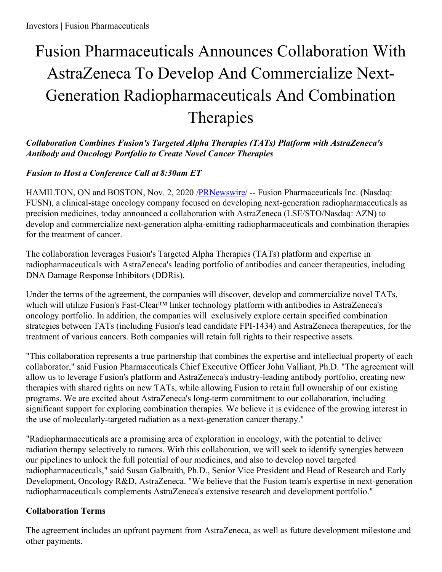# Fusion Pharmaceuticals Announces Collaboration With AstraZeneca To Develop And Commercialize Next-Generation Radiopharmaceuticals And Combination Therapies

## *Collaboration Combines Fusion's Targeted Alpha Therapies (TATs) Platform with AstraZeneca's Antibody and Oncology Portfolio to Create Novel Cancer Therapies*

# *Fusion to Host a Conference Call at 8:30am ET*

HAMILTON, ON and BOSTON, Nov. 2, 2020 /**PRNewswire/** -- Fusion Pharmaceuticals Inc. (Nasdaq: FUSN), a clinical-stage oncology company focused on developing next-generation radiopharmaceuticals as precision medicines, today announced a collaboration with AstraZeneca (LSE/STO/Nasdaq: AZN) to develop and commercialize next-generation alpha-emitting radiopharmaceuticals and combination therapies for the treatment of cancer.

The collaboration leverages Fusion's Targeted Alpha Therapies (TATs) platform and expertise in radiopharmaceuticals with AstraZeneca's leading portfolio of antibodies and cancer therapeutics, including DNA Damage Response Inhibitors (DDRis).

Under the terms of the agreement, the companies will discover, develop and commercialize novel TATs, which will utilize Fusion's Fast-Clear™ linker technology platform with antibodies in AstraZeneca's oncology portfolio. In addition, the companies will exclusively explore certain specified combination strategies between TATs (including Fusion's lead candidate FPI-1434) and AstraZeneca therapeutics, for the treatment of various cancers. Both companies will retain full rights to their respective assets.

"This collaboration represents a true partnership that combines the expertise and intellectual property of each collaborator," said Fusion Pharmaceuticals Chief Executive Officer John Valliant, Ph.D. "The agreement will allow us to leverage Fusion's platform and AstraZeneca's industry-leading antibody portfolio, creating new therapies with shared rights on new TATs, while allowing Fusion to retain full ownership of our existing programs. We are excited about AstraZeneca's long-term commitment to our collaboration, including significant support for exploring combination therapies. We believe it is evidence of the growing interest in the use of molecularly-targeted radiation as a next-generation cancer therapy."

"Radiopharmaceuticals are a promising area of exploration in oncology, with the potential to deliver radiation therapy selectively to tumors. With this collaboration, we will seek to identify synergies between our pipelines to unlock the full potential of our medicines, and also to develop novel targeted radiopharmaceuticals," said Susan Galbraith, Ph.D., Senior Vice President and Head of Research and Early Development, Oncology R&D, AstraZeneca. "We believe that the Fusion team's expertise in next-generation radiopharmaceuticals complements AstraZeneca's extensive research and development portfolio."

# **Collaboration Terms**

The agreement includes an upfront payment from AstraZeneca, as well as future development milestone and other payments.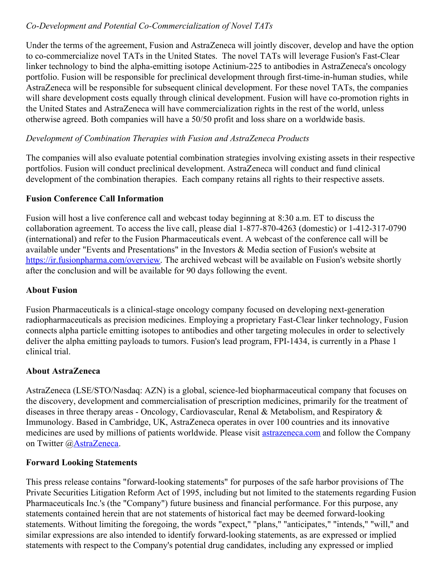## *Co-Development and Potential Co-Commercialization of Novel TATs*

Under the terms of the agreement, Fusion and AstraZeneca will jointly discover, develop and have the option to co-commercialize novel TATs in the United States. The novel TATs will leverage Fusion's Fast-Clear linker technology to bind the alpha-emitting isotope Actinium-225 to antibodies in AstraZeneca's oncology portfolio. Fusion will be responsible for preclinical development through first-time-in-human studies, while AstraZeneca will be responsible for subsequent clinical development. For these novel TATs, the companies will share development costs equally through clinical development. Fusion will have co-promotion rights in the United States and AstraZeneca will have commercialization rights in the rest of the world, unless otherwise agreed. Both companies will have a 50/50 profit and loss share on a worldwide basis.

#### *Development of Combination Therapies with Fusion and AstraZeneca Products*

The companies will also evaluate potential combination strategies involving existing assets in their respective portfolios. Fusion will conduct preclinical development. AstraZeneca will conduct and fund clinical development of the combination therapies. Each company retains all rights to their respective assets.

#### **Fusion Conference Call Information**

Fusion will host a live conference call and webcast today beginning at 8:30 a.m. ET to discuss the collaboration agreement. To access the live call, please dial 1-877-870-4263 (domestic) or 1-412-317-0790 (international) and refer to the Fusion Pharmaceuticals event. A webcast of the conference call will be available under "Events and Presentations" in the Investors & Media section of Fusion's website at <https://ir.fusionpharma.com/overview>. The archived webcast will be available on Fusion's website shortly after the conclusion and will be available for 90 days following the event.

#### **About Fusion**

Fusion Pharmaceuticals is a clinical-stage oncology company focused on developing next-generation radiopharmaceuticals as precision medicines. Employing a proprietary Fast-Clear linker technology, Fusion connects alpha particle emitting isotopes to antibodies and other targeting molecules in order to selectively deliver the alpha emitting payloads to tumors. Fusion's lead program, FPI-1434, is currently in a Phase 1 clinical trial.

#### **About AstraZeneca**

AstraZeneca (LSE/STO/Nasdaq: AZN) is a global, science-led biopharmaceutical company that focuses on the discovery, development and commercialisation of prescription medicines, primarily for the treatment of diseases in three therapy areas - Oncology, Cardiovascular, Renal & Metabolism, and Respiratory & Immunology. Based in Cambridge, UK, AstraZeneca operates in over 100 countries and its innovative medicines are used by millions of patients worldwide. Please visit [astrazeneca.com](https://c212.net/c/link/?t=0&l=en&o=2968343-1&h=479583881&u=http%3A%2F%2Fwww.astrazeneca.com%2F&a=astrazeneca.com) and follow the Company on Twitter [@AstraZeneca](https://c212.net/c/link/?t=0&l=en&o=2968343-1&h=2576427217&u=https%3A%2F%2Ftwitter.com%2FAstraZeneca&a=AstraZeneca).

#### **Forward Looking Statements**

This press release contains "forward-looking statements" for purposes of the safe harbor provisions of The Private Securities Litigation Reform Act of 1995, including but not limited to the statements regarding Fusion Pharmaceuticals Inc.'s (the "Company") future business and financial performance. For this purpose, any statements contained herein that are not statements of historical fact may be deemed forward-looking statements. Without limiting the foregoing, the words "expect," "plans," "anticipates," "intends," "will," and similar expressions are also intended to identify forward-looking statements, as are expressed or implied statements with respect to the Company's potential drug candidates, including any expressed or implied